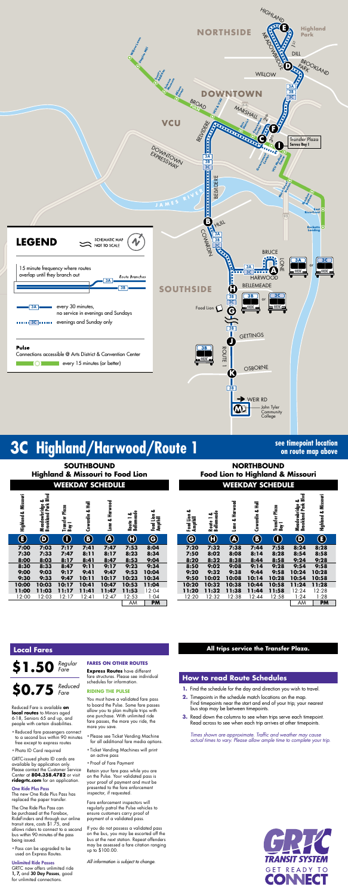

# **3C Highland/Harwood/Route 1 see timepoint location**

**on route map above**



*Times shown are approximate. Traffic and weather may cause actual times to vary. Please allow ample time to complete your trip.*



| Missouri<br>Highland & | Meadowbridge &<br>Brookland Park | Plaza<br>Transfer<br>-<br>Bay | 弖<br>ఱ<br>Cowardin | ढू<br>훞<br>ఱ<br>$L$ one | Route 1 &<br>Bellemeade | ಹ<br>Food Lion<br>Ampthill | ఱ<br>rood Lion<br>Ampthill | စ<br>Route 1 &<br>Bellemeade | Harwood<br>ಹ<br>Lone | 扂<br>ಹ<br>Cowardin | Plaza<br>Transfer<br>Bay I | ᇰᄝ<br>Meadowbridge &<br>Brookland Park | Missouri<br>Highland & |
|------------------------|----------------------------------|-------------------------------|--------------------|-------------------------|-------------------------|----------------------------|----------------------------|------------------------------|----------------------|--------------------|----------------------------|----------------------------------------|------------------------|
| $\bf \bf E$            | $\mathbf 0$                      | $\left( \mathsf{I}\right)$    | $\mathbf{B}$       | $\mathbf{A}$            | $\boldsymbol{\Theta}$   | $\mathbf{\widehat{G}}$     | $\bf G$                    | $\boldsymbol{\theta}$        | $\bigcirc$           | $\mathbf{B}$       | O                          | $\bigcirc$                             | $\bigcirc$             |
| 7:00                   | 7:03                             | 7:17                          | 7:41               | 7:47                    | 7:53                    | 8:04                       | 7:20                       | 7:32                         | 7:38                 | 7:44               | 7:58                       | 8:24                                   | 8:28                   |
| 7:30                   | 7:33                             | 7:47                          | 8:11               | 8:17                    | 8:23                    | 8:34                       | 7:50                       | 8:02                         | 8:08                 | 8:14               | 8:28                       | 8:54                                   | 8:58                   |
| 8:00                   | 8:03                             | 8:17                          | 8:41               | 8:47                    | 8:53                    | 9:04                       | 8:20                       | 8:32                         | 8:38                 | 8:44               | 8:58                       | 9:24                                   | 9:28                   |
| 8:30                   | 8:33                             | 8:47                          | 9:11               | 9:17                    | 9:23                    | 9:34                       | 8:50                       | 9:02                         | 9:08                 | 9:14               | 9:28                       | 9:54                                   | 9:58                   |
| 9:00                   | 9:03                             | 9:17                          | 9:41               | 9:47                    | 9:53                    | 10:04                      | 9:20                       | 9:32                         | 9:38                 | 9:44               | 9:58                       | 10:24                                  | 10:28                  |
| 9:30                   | 9:33                             | 9:47                          | 10:11              | 10:17                   | 10:23                   | 10:34                      | 9:50                       | 10:02                        | 10:08                | 10:14              | 10:28                      | 10:54                                  | 10:58                  |
| 10:00                  | 10:03                            | 10:17                         | 10:41              | 10:47                   | 10:53                   | 11:04                      | 10:20                      | 10:32                        | 10:38                | 10:44              | 10:58                      | 11:24                                  | 11:28                  |
| 11:00                  | 11:03                            | 11:17                         | 1:41               | 1 1:47                  | 11:53                   | 12:04                      | 11:20                      | 11:32                        | 11:38                | 11:44              | 11:58                      | 12:24                                  | 12:28                  |
| 12:00                  | 12:03                            | 12:17                         | 12:41              | 12:47                   | 12:53                   | :04                        | 12:20                      | 12:32                        | 12:38                | 2:44               | 12:58                      | 24: ا                                  | l:28                   |
|                        |                                  |                               |                    |                         | ΑM                      | <b>PM</b>                  |                            |                              |                      |                    |                            | AM                                     | <b>PM</b>              |
|                        |                                  |                               |                    |                         |                         |                            |                            |                              |                      |                    |                            |                                        |                        |

GRTC now offers unlimited ride 1, 7, and 30 Day Passes, good for unlimited connections.

### **How to read Route Schedules**

- **1.** Find the schedule for the day and direction you wish to travel.
- **2.** Timepoints in the schedule match locations on the map. Find timepoints near the start and end of your trip; your nearest bus stop may be between timepoints.
- **3.** Read down the columns to see when trips serve each timepoint. Read across to see when each trip arrives at other timepoints.

## **Local Fares**

**\$1.50** *Regular Fare*

Reduced Fare is available **on local routes** to Minors aged 6-18, Seniors 65 and up, and people with certain disabilities.

- Reduced fare passengers connect to a second bus within 90 minutes free except to express routes
- Photo ID Card required

GRTC-issued photo ID cards are available by application only. Please contact the Customer Service Center at **804.358.4782** or visit **ridegrtc.com** for an application.

#### One Ride Plus Pass

#### **\$0.75** *Reduced Fare*

The new One Ride Plus Pass has replaced the paper transfer.

The One Ride Plus Pass can be purchased at the Farebox, RideFinders and through our online transit store, costs \$1.75, and allows riders to connect to a second bus within 90 minutes of the pass being issued.

• Pass can be upgraded to be used on Express Routes.

#### Unlimited Ride Passes

#### **FARES ON OTHER ROUTES**

**Express Routes** have different fare structures. Please see individual schedules for information.

#### **RIDING THE PULSE**

You must have a validated fare pass to board the Pulse. Some fare passes allow you to plan multiple trips with one purchase. With unlimited ride fare passes, the more you ride, the more you save.

- Please see Ticket Vending Machine for all additional fare media options.
- Ticket Vending Machines will print an active pass
- Proof of Fare Payment

Retain your fare pass while you are on the Pulse. Your validated pass is your proof of payment and must be presented to the fare enforcement inspector, if requested.

Fare enforcement inspectors will regularly patrol the Pulse vehicles to ensure customers carry proof of payment of a validated pass.

If you do not possess a validated pass on the bus, you may be escorted off the bus at the next station. Repeat offenders may be assessed a fare citation ranging up to \$100.00.

*All information is subject to change.*

#### **All trips service the Transfer Plaza.**